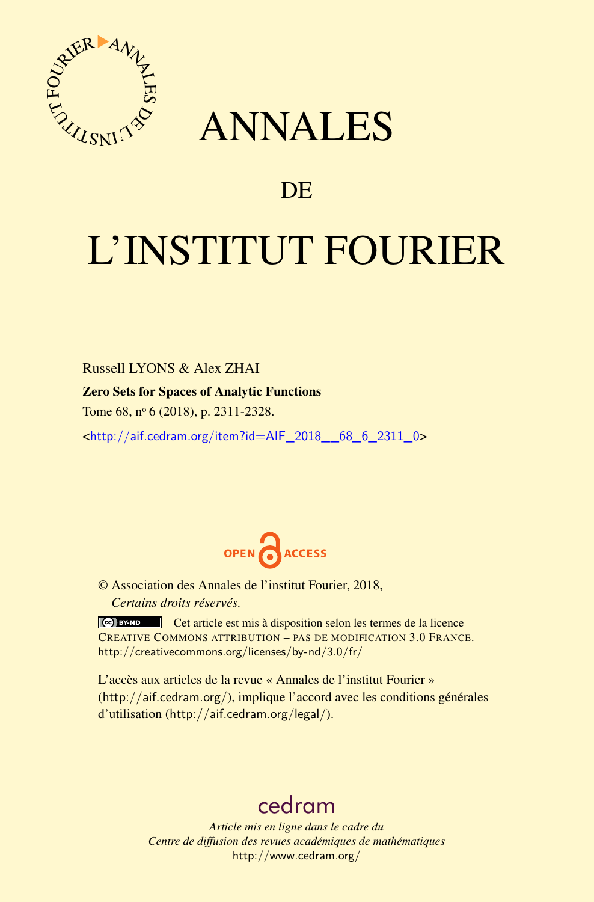<span id="page-0-0"></span>

## ANNALES

### **DE**

# L'INSTITUT FOURIER

Russell LYONS & Alex ZHAI Zero Sets for Spaces of Analytic Functions

Tome 68, nº 6 (2018), p. 2311-2328.

<[http://aif.cedram.org/item?id=AIF\\_2018\\_\\_68\\_6\\_2311\\_0](http://aif.cedram.org/item?id=AIF_2018__68_6_2311_0)>



© Association des Annales de l'institut Fourier, 2018, *Certains droits réservés.*

Cet article est mis à disposition selon les termes de la licence CREATIVE COMMONS ATTRIBUTION – PAS DE MODIFICATION 3.0 FRANCE. <http://creativecommons.org/licenses/by-nd/3.0/fr/>

L'accès aux articles de la revue « Annales de l'institut Fourier » (<http://aif.cedram.org/>), implique l'accord avec les conditions générales d'utilisation (<http://aif.cedram.org/legal/>).

## [cedram](http://www.cedram.org/)

*Article mis en ligne dans le cadre du Centre de diffusion des revues académiques de mathématiques* <http://www.cedram.org/>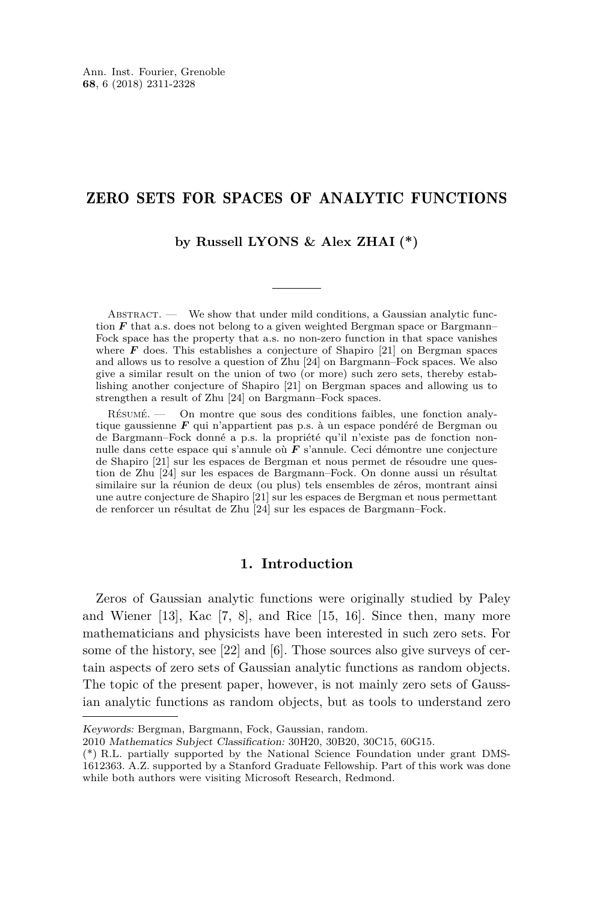#### ZERO SETS FOR SPACES OF ANALYTIC FUNCTIONS

**by Russell LYONS & Alex ZHAI (\*)**

ABSTRACT. — We show that under mild conditions, a Gaussian analytic function  $F$  that a.s. does not belong to a given weighted Bergman space or Bargmann– Fock space has the property that a.s. no non-zero function in that space vanishes where  $\bf{F}$  does. This establishes a conjecture of Shapiro [\[21\]](#page-17-0) on Bergman spaces and allows us to resolve a question of Zhu [\[24\]](#page-17-1) on Bargmann–Fock spaces. We also give a similar result on the union of two (or more) such zero sets, thereby establishing another conjecture of Shapiro [\[21\]](#page-17-0) on Bergman spaces and allowing us to strengthen a result of Zhu [\[24\]](#page-17-1) on Bargmann–Fock spaces.

Résumé. — On montre que sous des conditions faibles, une fonction analytique gaussienne *F* qui n'appartient pas p.s. à un espace pondéré de Bergman ou de Bargmann–Fock donné a p.s. la propriété qu'il n'existe pas de fonction nonnulle dans cette espace qui s'annule où *F* s'annule. Ceci démontre une conjecture de Shapiro [\[21\]](#page-17-0) sur les espaces de Bergman et nous permet de résoudre une question de Zhu [\[24\]](#page-0-0) sur les espaces de Bargmann–Fock. On donne aussi un résultat similaire sur la réunion de deux (ou plus) tels ensembles de zéros, montrant ainsi une autre conjecture de Shapiro [\[21\]](#page-17-0) sur les espaces de Bergman et nous permettant de renforcer un résultat de Zhu [\[24\]](#page-0-0) sur les espaces de Bargmann–Fock.

#### **1. Introduction**

Zeros of Gaussian analytic functions were originally studied by Paley and Wiener [\[13\]](#page-17-2), Kac  $[7, 8]$  $[7, 8]$  $[7, 8]$ , and Rice [\[15,](#page-17-3) [16\]](#page-17-4). Since then, many more mathematicians and physicists have been interested in such zero sets. For some of the history, see [\[22\]](#page-17-5) and [\[6\]](#page-16-2). Those sources also give surveys of certain aspects of zero sets of Gaussian analytic functions as random objects. The topic of the present paper, however, is not mainly zero sets of Gaussian analytic functions as random objects, but as tools to understand zero

Keywords: Bergman, Bargmann, Fock, Gaussian, random.

<sup>2010</sup> Mathematics Subject Classification: 30H20, 30B20, 30C15, 60G15.

<sup>(\*)</sup> R.L. partially supported by the National Science Foundation under grant DMS-1612363. A.Z. supported by a Stanford Graduate Fellowship. Part of this work was done while both authors were visiting Microsoft Research, Redmond.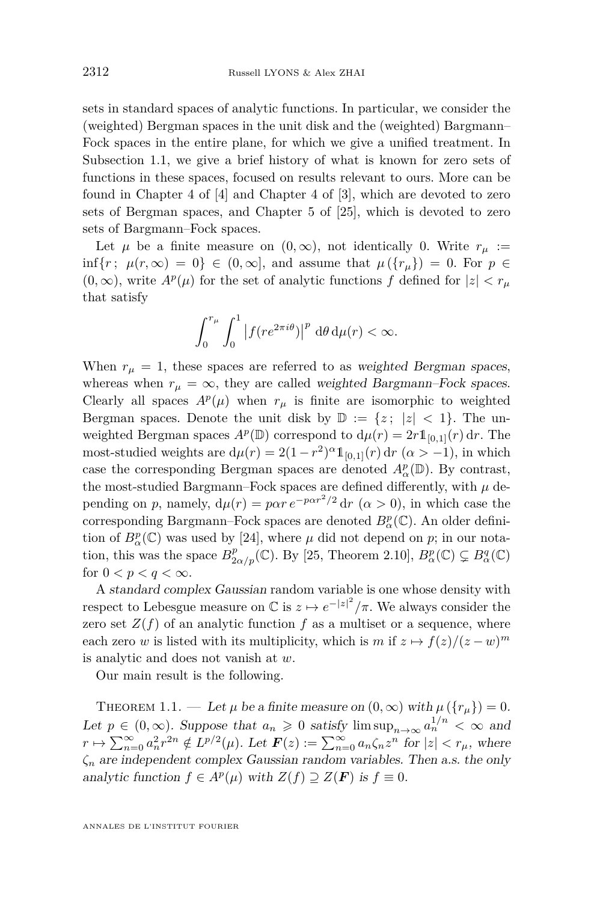sets in standard spaces of analytic functions. In particular, we consider the (weighted) Bergman spaces in the unit disk and the (weighted) Bargmann– Fock spaces in the entire plane, for which we give a unified treatment. In Subsection [1.1,](#page-6-0) we give a brief history of what is known for zero sets of functions in these spaces, focused on results relevant to ours. More can be found in Chapter 4 of [\[4\]](#page-16-3) and Chapter 4 of [\[3\]](#page-16-4), which are devoted to zero sets of Bergman spaces, and Chapter 5 of [\[25\]](#page-17-6), which is devoted to zero sets of Bargmann–Fock spaces.

Let  $\mu$  be a finite measure on  $(0, \infty)$ , not identically 0. Write  $r_{\mu}$  := inf{*r*;  $\mu(r, \infty) = 0$ } ∈ (0, ∞), and assume that  $\mu(\{r_{\mu}\}) = 0$ . For  $p \in$  $(0, \infty)$ , write  $A^p(\mu)$  for the set of analytic functions  $f$  defined for  $|z| < r_\mu$ that satisfy

$$
\int_0^{r_{\mu}} \int_0^1 \left| f(re^{2\pi i\theta})\right|^p \, \mathrm{d}\theta \, \mathrm{d}\mu(r) < \infty.
$$

When  $r_{\mu} = 1$ , these spaces are referred to as weighted Bergman spaces, whereas when  $r_{\mu} = \infty$ , they are called weighted Bargmann–Fock spaces. Clearly all spaces  $A^p(\mu)$  when  $r_\mu$  is finite are isomorphic to weighted Bergman spaces. Denote the unit disk by  $\mathbb{D} := \{z : |z| < 1\}$ . The unweighted Bergman spaces  $A^p(\mathbb{D})$  correspond to  $d\mu(r) = 2r \mathbb{1}_{[0,1]}(r) dr$ . The most-studied weights are  $d\mu(r) = 2(1 - r^2)^{\alpha} \mathbb{1}_{[0,1]}(r) dr \ (\alpha > -1)$ , in which case the corresponding Bergman spaces are denoted  $A^p_\alpha(\mathbb{D})$ . By contrast, the most-studied Bargmann–Fock spaces are defined differently, with  $\mu$  depending on *p*, namely,  $d\mu(r) = p\alpha r e^{-p\alpha r^2/2} dr$  ( $\alpha > 0$ ), in which case the corresponding Bargmann–Fock spaces are denoted  $B^p_\alpha(\mathbb{C})$ . An older definition of  $B^p_\alpha(\mathbb{C})$  was used by [\[24\]](#page-17-1), where  $\mu$  did not depend on  $p$ ; in our notation, this was the space  $B_{2\alpha/p}^p(\mathbb{C})$ . By [\[25,](#page-17-6) Theorem 2.10],  $B_{\alpha}^p(\mathbb{C}) \subsetneq B_{\alpha}^q(\mathbb{C})$ for  $0 < p < q < \infty$ .

A standard complex Gaussian random variable is one whose density with respect to Lebesgue measure on  $\mathbb{C}$  is  $z \mapsto e^{-|z|^2}/\pi$ . We always consider the zero set  $Z(f)$  of an analytic function f as a multiset or a sequence, where each zero *w* is listed with its multiplicity, which is  $m$  if  $z \mapsto f(z)/(z-w)^m$ is analytic and does not vanish at *w*.

Our main result is the following.

<span id="page-2-0"></span>THEOREM 1.1. — Let  $\mu$  be a finite measure on  $(0, \infty)$  with  $\mu({r_u}) = 0$ . Let  $p \in (0, \infty)$ . Suppose that  $a_n \geq 0$  satisfy  $\limsup_{n \to \infty} a_n^{1/n} < \infty$  and  $r \mapsto \sum_{n=0}^{\infty} a_n^2 r^{2n} \notin L^{p/2}(\mu)$ . Let  $\boldsymbol{F}(z) := \sum_{n=0}^{\infty} a_n \zeta_n z^n$  for  $|z| < r_{\mu}$ , where *ζ<sup>n</sup>* are independent complex Gaussian random variables. Then a.s. the only analytic function  $f \in A^p(\mu)$  with  $Z(f) \supseteq Z(\mathbf{F})$  is  $f \equiv 0$ .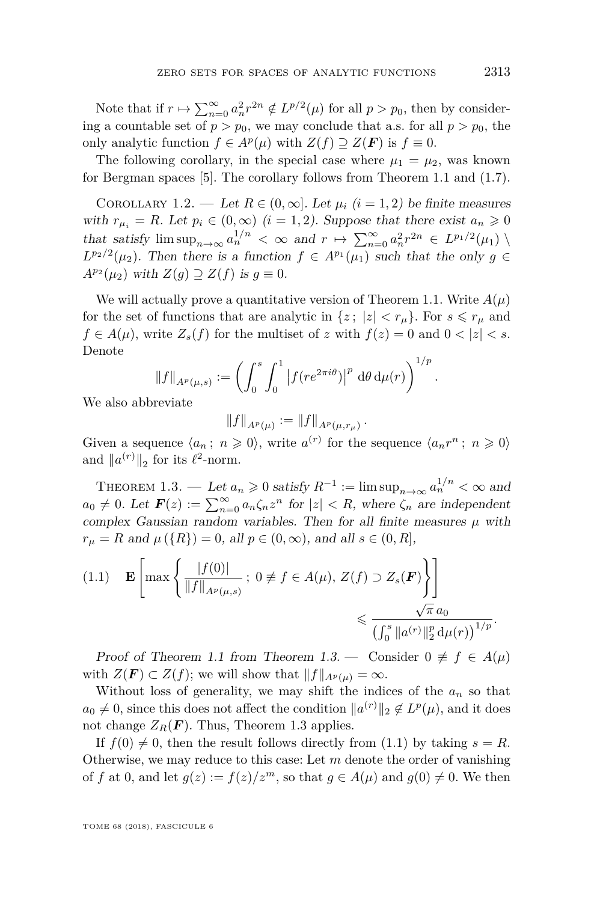Note that if  $r \mapsto \sum_{n=0}^{\infty} a_n^2 r^{2n} \notin L^{p/2}(\mu)$  for all  $p > p_0$ , then by considering a countable set of  $p > p_0$ , we may conclude that a.s. for all  $p > p_0$ , the only analytic function  $f \in A^p(\mu)$  with  $Z(f) \supseteq Z(\mathbf{F})$  is  $f \equiv 0$ .

The following corollary, in the special case where  $\mu_1 = \mu_2$ , was known for Bergman spaces [\[5\]](#page-16-5). The corollary follows from Theorem [1.1](#page-2-0) and [\(1.7\)](#page-10-0).

<span id="page-3-2"></span>COROLLARY 1.2. — Let  $R \in (0,\infty]$ . Let  $\mu_i$   $(i=1,2)$  be finite measures with  $r_{\mu_i} = R$ . Let  $p_i \in (0, \infty)$   $(i = 1, 2)$ . Suppose that there exist  $a_n \geq 0$ that satisfy  $\limsup_{n\to\infty} a_n^{1/n} < \infty$  and  $r \mapsto \sum_{n=0}^{\infty} a_n^2 r^{2n} \in L^{p_1/2}(\mu_1)$  $L^{p_2/2}(\mu_2)$ . Then there is a function  $f \in A^{p_1}(\mu_1)$  such that the only  $g \in$  $A^{p_2}(\mu_2)$  with  $Z(g) \supseteq Z(f)$  is  $g \equiv 0$ .

We will actually prove a quantitative version of Theorem [1.1.](#page-2-0) Write  $A(\mu)$ for the set of functions that are analytic in  $\{z; |z| < r_{\mu}\}$ . For  $s \leq r_{\mu}$  and *f* ∈ *A*( $\mu$ ), write *Z*<sub>*s*</sub>(*f*) for the multiset of *z* with *f*(*z*) = 0 and 0 < |*z*| < *s*. Denote

$$
||f||_{A^p(\mu,s)} := \left(\int_0^s \int_0^1 |f(re^{2\pi i\theta})|^p \, d\theta \, d\mu(r)\right)^{1/p}
$$

We also abbreviate

$$
||f||_{A^p(\mu)} := ||f||_{A^p(\mu, r_\mu)}.
$$

Given a sequence  $\langle a_n; n \geq 0 \rangle$ , write  $a^{(r)}$  for the sequence  $\langle a_n r^n; n \geq 0 \rangle$ and  $||a^{(r)}||_2$  for its  $\ell^2$ -norm.

<span id="page-3-0"></span>THEOREM 1.3. — Let  $a_n \geq 0$  satisfy  $R^{-1} := \limsup_{n \to \infty} a_n^{1/n} < \infty$  and  $a_0 \neq 0$ . Let  $\mathbf{F}(z) := \sum_{n=0}^{\infty} a_n \zeta_n z^n$  for  $|z| < R$ , where  $\zeta_n$  are independent complex Gaussian random variables. Then for all finite measures  $\mu$  with  $r_{\mu} = R$  and  $\mu(\lbrace R \rbrace) = 0$ , all  $p \in (0, \infty)$ , and all  $s \in (0, R]$ ,

<span id="page-3-1"></span>
$$
(1.1) \t\mathbf{E}\left[\max\left\{\frac{|f(0)|}{\|f\|_{A^p(\mu,s)}}\,;\,0\neq f\in A(\mu),\,Z(f)\supset Z_s(\mathbf{F})\right\}\right] \leq \frac{\sqrt{\pi} a_0}{\left(\int_0^s \|a^{(r)}\|_2^p d\mu(r)\right)^{1/p}}.
$$

Proof of Theorem [1.1](#page-2-0) from Theorem [1.3.](#page-3-0) — Consider  $0 \neq f \in A(\mu)$ with  $Z(\mathbf{F}) \subset Z(f)$ ; we will show that  $||f||_{A^p(\mu)} = \infty$ .

Without loss of generality, we may shift the indices of the  $a_n$  so that  $a_0 \neq 0$ , since this does not affect the condition  $\|a^{(r)}\|_2 \notin L^p(\mu)$ , and it does not change  $Z_R(\mathbf{F})$ . Thus, Theorem [1.3](#page-3-0) applies.

If  $f(0) \neq 0$ , then the result follows directly from [\(1.1\)](#page-3-1) by taking  $s = R$ . Otherwise, we may reduce to this case: Let *m* denote the order of vanishing of *f* at 0, and let  $g(z) := f(z)/z^m$ , so that  $g \in A(\mu)$  and  $g(0) \neq 0$ . We then

TOME 68 (2018), FASCICULE 6

*.*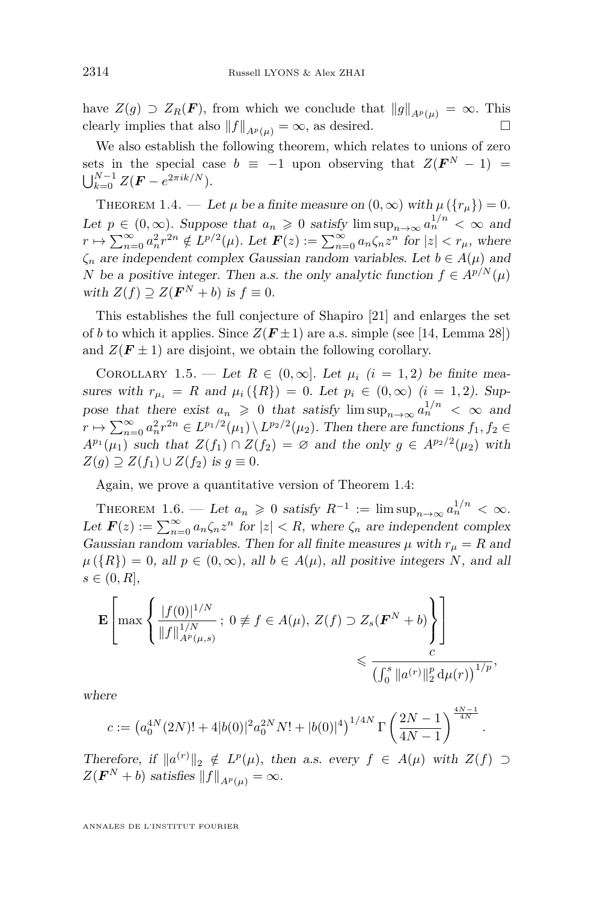have  $Z(g) \supset Z_R(F)$ , from which we conclude that  $||g||_{A^p(u)} = \infty$ . This clearly implies that also  $||f||_{A^p(u)} = \infty$ , as desired.

We also establish the following theorem, which relates to unions of zero sets in the special case  $b \equiv -1$  upon observing that  $Z(F^N - 1) =$  $\bigcup_{k=0}^{N-1} Z(\bm{F} - e^{2\pi i k/N}).$ 

<span id="page-4-0"></span>THEOREM 1.4. — Let  $\mu$  be a finite measure on  $(0, \infty)$  with  $\mu({r_n}) = 0$ . Let  $p \in (0, \infty)$ . Suppose that  $a_n \geq 0$  satisfy  $\limsup_{n \to \infty} a_n^{1/n} < \infty$  and  $r \mapsto \sum_{n=0}^{\infty} a_n^2 r^{2n} \notin L^{p/2}(\mu)$ . Let  $\boldsymbol{F}(z) := \sum_{n=0}^{\infty} a_n \zeta_n z^n$  for  $|z| < r_{\mu}$ , where  $\zeta_n$  are independent complex Gaussian random variables. Let  $b \in A(\mu)$  and *N* be a positive integer. Then a.s. the only analytic function  $f \in A^{p/N}(\mu)$ with  $Z(f) \supseteq Z(\mathbf{F}^N + b)$  is  $f \equiv 0$ .

This establishes the full conjecture of Shapiro [\[21\]](#page-17-0) and enlarges the set of *b* to which it applies. Since  $Z(F \pm 1)$  are a.s. simple (see [\[14,](#page-17-7) Lemma 28]) and  $Z(F \pm 1)$  are disjoint, we obtain the following corollary.

<span id="page-4-1"></span>COROLLARY 1.5. — Let  $R \in (0,\infty]$ . Let  $\mu_i$   $(i=1,2)$  be finite measures with  $r_{\mu_i} = R$  and  $\mu_i({R}) = 0$ . Let  $p_i \in (0, \infty)$  (*i* = 1, 2). Suppose that there exist  $a_n \geq 0$  that satisfy  $\limsup_{n\to\infty} a_n^{1/n} < \infty$  and  $r \mapsto \sum_{n=0}^{\infty} a_n^2 r^{2n} \in L^{p_1/2}(\mu_1) \setminus L^{p_2/2}(\mu_2)$ . Then there are functions  $f_1, f_2 \in$  $A^{p_1}(\mu_1)$  such that  $Z(f_1) \cap Z(f_2) = \emptyset$  and the only  $g \in A^{p_2/2}(\mu_2)$  with *Z*(*g*) ⊇ *Z*(*f*<sub>1</sub>) ∪ *Z*(*f*<sub>2</sub>) is *g* ≡ 0.

Again, we prove a quantitative version of Theorem [1.4:](#page-4-0)

<span id="page-4-2"></span>THEOREM 1.6. — Let  $a_n \geq 0$  satisfy  $R^{-1} := \limsup_{n \to \infty} a_n^{1/n} < \infty$ . Let  $\mathbf{F}(z) := \sum_{n=0}^{\infty} a_n \zeta_n z^n$  for  $|z| < R$ , where  $\zeta_n$  are independent complex Gaussian random variables. Then for all finite measures  $\mu$  with  $r_{\mu} = R$  and  $\mu({R}) = 0$ , all  $p \in (0, \infty)$ , all  $b \in A(\mu)$ , all positive integers *N*, and all  $s \in (0, R],$ 

$$
\mathbf{E}\left[\max\left\{\frac{|f(0)|^{1/N}}{\|f\|_{A^p(\mu,s)}^{1/N}}; 0 \neq f \in A(\mu), Z(f) \supset Z_s(\mathbf{F}^N + b)\right\}\right] \leq \frac{c}{\left(\int_0^s \|a^{(r)}\|_2^p d\mu(r)\right)^{1/p}},
$$

where

$$
c := \left(a_0^{4N}(2N)! + 4|b(0)|^2 a_0^{2N} N! + |b(0)|^4\right)^{1/4N} \Gamma\left(\frac{2N-1}{4N-1}\right)^{\frac{4N-1}{4N}}.
$$

Therefore, if  $\|a^{(r)}\|_2 \notin L^p(\mu)$ , then a.s. every  $f \in A(\mu)$  with  $Z(f) \supset$  $Z(\mathbf{F}^N + b)$  satisfies  $||f||_{A^p(\mu)} = \infty$ .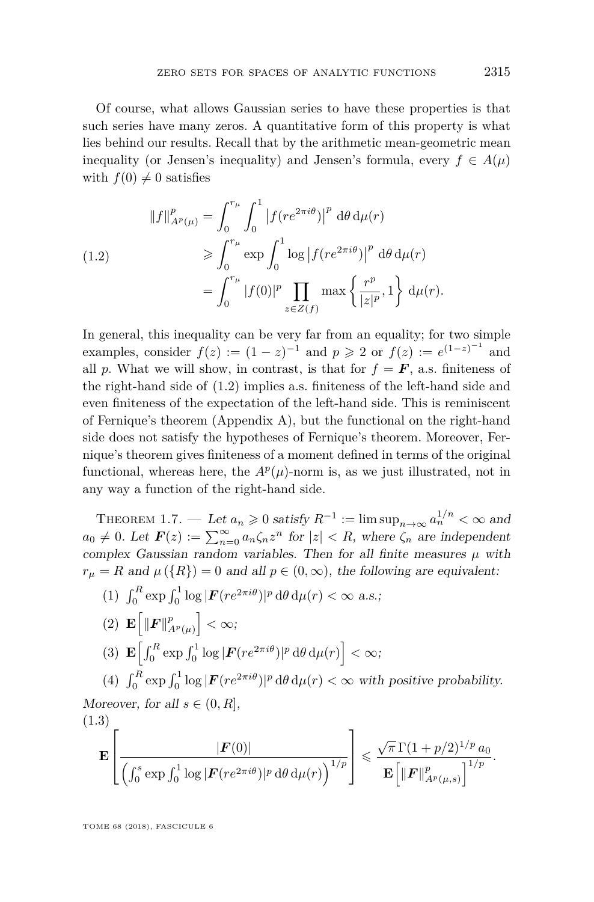Of course, what allows Gaussian series to have these properties is that such series have many zeros. A quantitative form of this property is what lies behind our results. Recall that by the arithmetic mean-geometric mean inequality (or Jensen's inequality) and Jensen's formula, every  $f \in A(\mu)$ with  $f(0) \neq 0$  satisfies

<span id="page-5-0"></span>(1.2)  
\n
$$
||f||_{A^p(\mu)}^p = \int_0^{r_\mu} \int_0^1 |f(re^{2\pi i\theta})|^p d\theta d\mu(r)
$$
\n
$$
\geqslant \int_0^{r_\mu} \exp \int_0^1 \log |f(re^{2\pi i\theta})|^p d\theta d\mu(r)
$$
\n
$$
= \int_0^{r_\mu} |f(0)|^p \prod_{z \in Z(f)} \max \left\{ \frac{r^p}{|z|^p}, 1 \right\} d\mu(r).
$$

In general, this inequality can be very far from an equality; for two simple examples, consider  $f(z) := (1 - z)^{-1}$  and  $p \ge 2$  or  $f(z) := e^{(1-z)^{-1}}$  and all *p*. What we will show, in contrast, is that for  $f = F$ , a.s. finiteness of the right-hand side of [\(1.2\)](#page-5-0) implies a.s. finiteness of the left-hand side and even finiteness of the expectation of the left-hand side. This is reminiscent of Fernique's theorem (Appendix [A\)](#page-15-0), but the functional on the right-hand side does not satisfy the hypotheses of Fernique's theorem. Moreover, Fernique's theorem gives finiteness of a moment defined in terms of the original functional, whereas here, the  $A^p(\mu)$ -norm is, as we just illustrated, not in any way a function of the right-hand side.

<span id="page-5-1"></span>THEOREM 1.7. — Let  $a_n \geq 0$  satisfy  $R^{-1} := \limsup_{n \to \infty} a_n^{1/n} < \infty$  and  $a_0 \neq 0$ . Let  $\mathbf{F}(z) := \sum_{n=0}^{\infty} a_n \zeta_n z^n$  for  $|z| < R$ , where  $\zeta_n$  are independent complex Gaussian random variables. Then for all finite measures  $\mu$  with  $r_{\mu} = R$  and  $\mu(\lbrace R \rbrace) = 0$  and all  $p \in (0, \infty)$ , the following are equivalent:

<span id="page-5-5"></span><span id="page-5-3"></span>\n- (1) 
$$
\int_0^R \exp \int_0^1 \log |F(re^{2\pi i\theta})|^p \, d\theta \, d\mu(r) < \infty \text{ a.s.}
$$
\n- (2)  $\mathbf{E} \left[ \|F\|_{A^p(\mu)}^p \right] < \infty$
\n- (3)  $\mathbf{E} \left[ \int_0^R \exp \int_0^1 \log |F(re^{2\pi i\theta})|^p \, d\theta \, d\mu(r) \right] < \infty$
\n- (4)  $\int_0^R \exp \int_0^1 \log |F(re^{2\pi i\theta})|^p \, d\theta \, d\mu(r) < \infty \text{ with positive probability.}$
\n

<span id="page-5-6"></span><span id="page-5-4"></span>Moreover, for all  $s \in (0, R]$ , (1.3)

<span id="page-5-2"></span>
$$
\mathbf{E}\left[\frac{|\boldsymbol{F}(0)|}{\left(\int_0^s \exp \int_0^1 \log |\boldsymbol{F}(re^{2\pi i\theta})|^p d\theta d\mu(r)\right)^{1/p}}\right] \leqslant \frac{\sqrt{\pi} \Gamma(1+p/2)^{1/p} a_0}{\mathbf{E}\left[\|\boldsymbol{F}\|_{A^p(\mu,s)}^p\right]^{1/p}}.
$$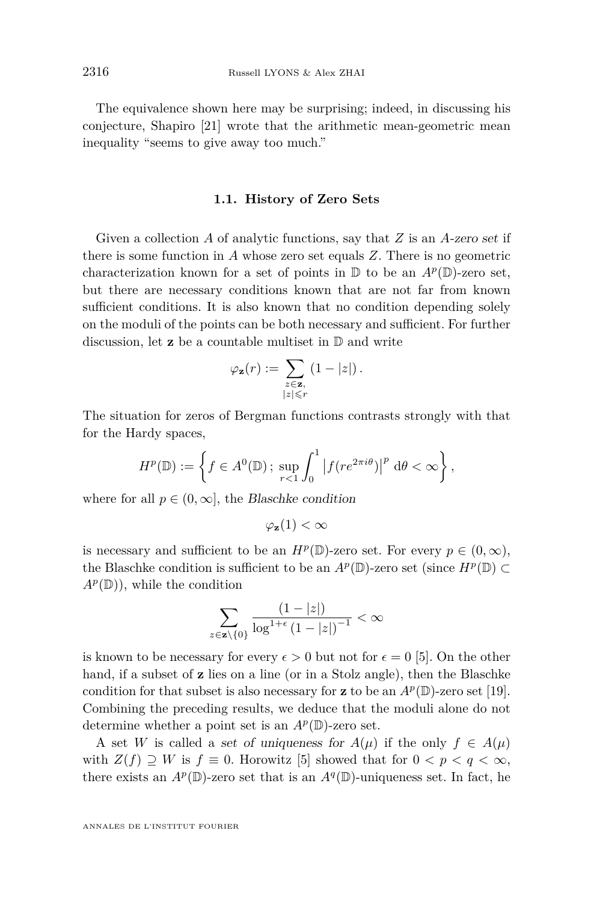The equivalence shown here may be surprising; indeed, in discussing his conjecture, Shapiro [\[21\]](#page-17-0) wrote that the arithmetic mean-geometric mean inequality "seems to give away too much."

#### **1.1. History of Zero Sets**

<span id="page-6-0"></span>Given a collection *A* of analytic functions, say that *Z* is an *A*-zero set if there is some function in *A* whose zero set equals *Z*. There is no geometric characterization known for a set of points in  $\mathbb D$  to be an  $A^p(\mathbb D)$ -zero set, but there are necessary conditions known that are not far from known sufficient conditions. It is also known that no condition depending solely on the moduli of the points can be both necessary and sufficient. For further discussion, let **z** be a countable multiset in D and write

$$
\varphi_{\mathbf{z}}(r):=\sum_{\substack{z\in\mathbf{z},\\|z|\leqslant r}}\left(1-|z|\right).
$$

The situation for zeros of Bergman functions contrasts strongly with that for the Hardy spaces,

$$
H^{p}(\mathbb{D}):=\left\{f\in A^{0}(\mathbb{D})\,;\,\sup_{r<1}\int_{0}^{1}\left|f(re^{2\pi i\theta})\right|^{p}\mathrm{d}\theta<\infty\right\},\,
$$

where for all  $p \in (0, \infty]$ , the Blaschke condition

$$
\varphi_{\mathbf{z}}(1) < \infty
$$

is necessary and sufficient to be an  $H^p(\mathbb{D})$ -zero set. For every  $p \in (0, \infty)$ , the Blaschke condition is sufficient to be an  $A^p(\mathbb{D})$ -zero set (since  $H^p(\mathbb{D}) \subset$  $A^p(\mathbb{D})$ , while the condition

$$
\sum_{z\in\mathbf{z}\setminus\{0\}}\frac{(1-|z|)}{\log^{1+\epsilon}(1-|z|)^{-1}}<\infty
$$

is known to be necessary for every  $\epsilon > 0$  but not for  $\epsilon = 0$  [\[5\]](#page-16-5). On the other hand, if a subset of **z** lies on a line (or in a Stolz angle), then the Blaschke condition for that subset is also necessary for **z** to be an  $A^p(\mathbb{D})$ -zero set [\[19\]](#page-17-8). Combining the preceding results, we deduce that the moduli alone do not determine whether a point set is an  $A^p(\mathbb{D})$ -zero set.

A set *W* is called a set of uniqueness for  $A(\mu)$  if the only  $f \in A(\mu)$ with  $Z(f) \supseteq W$  is  $f \equiv 0$ . Horowitz [\[5\]](#page-16-5) showed that for  $0 < p < q < \infty$ , there exists an  $A^p(\mathbb{D})$ -zero set that is an  $A^q(\mathbb{D})$ -uniqueness set. In fact, he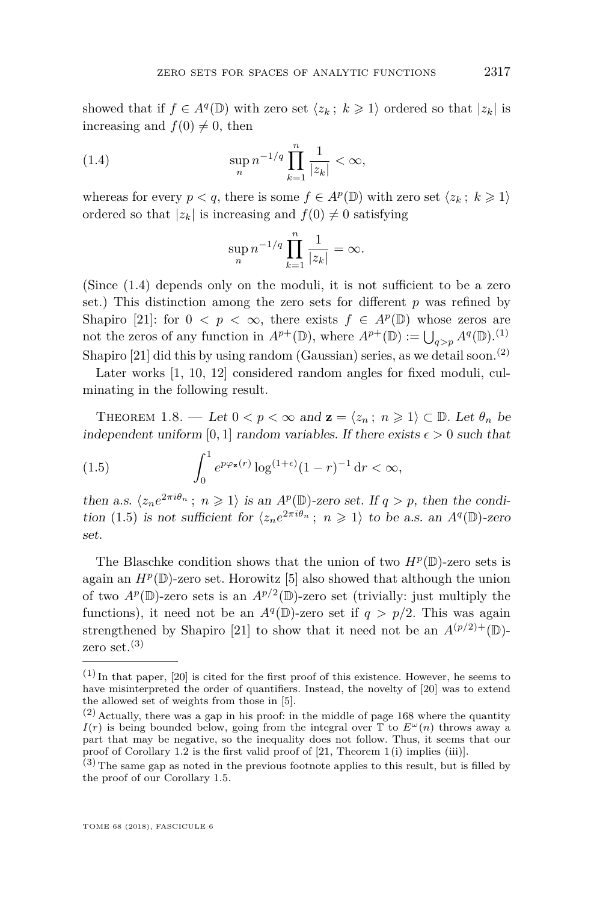showed that if  $f \in A^q(\mathbb{D})$  with zero set  $\langle z_k; k \geq 1 \rangle$  ordered so that  $|z_k|$  is increasing and  $f(0) \neq 0$ , then

(1.4) 
$$
\sup_n n^{-1/q} \prod_{k=1}^n \frac{1}{|z_k|} < \infty,
$$

whereas for every  $p < q$ , there is some  $f \in A^p(\mathbb{D})$  with zero set  $\langle z_k, k \geq 1 \rangle$ ordered so that  $|z_k|$  is increasing and  $f(0) \neq 0$  satisfying

<span id="page-7-0"></span>
$$
\sup_n n^{-1/q} \prod_{k=1}^n \frac{1}{|z_k|} = \infty.
$$

(Since [\(1.4\)](#page-7-0) depends only on the moduli, it is not sufficient to be a zero set.) This distinction among the zero sets for different *p* was refined by Shapiro [\[21\]](#page-17-0): for  $0 < p < \infty$ , there exists  $f \in A^p(\mathbb{D})$  whose zeros are not the zeros of any function in  $A^{p+}(\mathbb{D})$ , where  $A^{p+}(\mathbb{D}) := \bigcup_{q>p} A^q(\mathbb{D})$ .<sup>(1)</sup> Shapiro [\[21\]](#page-17-0) did this by using random (Gaussian) series, as we detail soon.<sup>(2)</sup>

Later works [\[1,](#page-16-6) [10,](#page-17-9) [12\]](#page-17-10) considered random angles for fixed moduli, culminating in the following result.

THEOREM 1.8. — Let  $0 < p < \infty$  and  $z = \langle z_n; n \geq 1 \rangle \subset \mathbb{D}$ . Let  $\theta_n$  be independent uniform [0, 1] random variables. If there exists  $\epsilon > 0$  such that

<span id="page-7-1"></span>(1.5) 
$$
\int_0^1 e^{p\varphi_{\mathbf{z}}(r)} \log^{(1+\epsilon)} (1-r)^{-1} dr < \infty,
$$

then a.s.  $\langle z_n e^{2\pi i \theta_n}$ ;  $n \geq 1 \rangle$  is an  $A^p(\mathbb{D})$ -zero set. If  $q > p$ , then the condi-tion [\(1.5\)](#page-7-1) is not sufficient for  $\langle z_n e^{2\pi i \theta_n}$ ;  $n \geq 1 \rangle$  to be a.s. an  $A^q(\mathbb{D})$ -zero set.

The Blaschke condition shows that the union of two  $H^p(\mathbb{D})$ -zero sets is again an  $H^p(\mathbb{D})$ -zero set. Horowitz [\[5\]](#page-16-5) also showed that although the union of two  $A^p(\mathbb{D})$ -zero sets is an  $A^{p/2}(\mathbb{D})$ -zero set (trivially: just multiply the functions), it need not be an  $A^q(\mathbb{D})$ -zero set if  $q > p/2$ . This was again strengthened by Shapiro [\[21\]](#page-17-0) to show that it need not be an  $A^{(p/2)+}(\mathbb{D})$ zero set. $^{(3)}$ 

 $(1)$  In that paper, [\[20\]](#page-17-11) is cited for the first proof of this existence. However, he seems to have misinterpreted the order of quantifiers. Instead, the novelty of [\[20\]](#page-17-11) was to extend the allowed set of weights from those in [\[5\]](#page-16-5).

 $(2)$  Actually, there was a gap in his proof: in the middle of page 168 where the quantity *I*(*r*) is being bounded below, going from the integral over  $\mathbb{T}$  to  $E^{\omega}(n)$  throws away a part that may be negative, so the inequality does not follow. Thus, it seems that our proof of Corollary [1.2](#page-3-2) is the first valid proof of  $[21,$  Theorem 1(i) implies (iii).

 $(3)$  The same gap as noted in the previous footnote applies to this result, but is filled by the proof of our Corollary [1.5.](#page-4-1)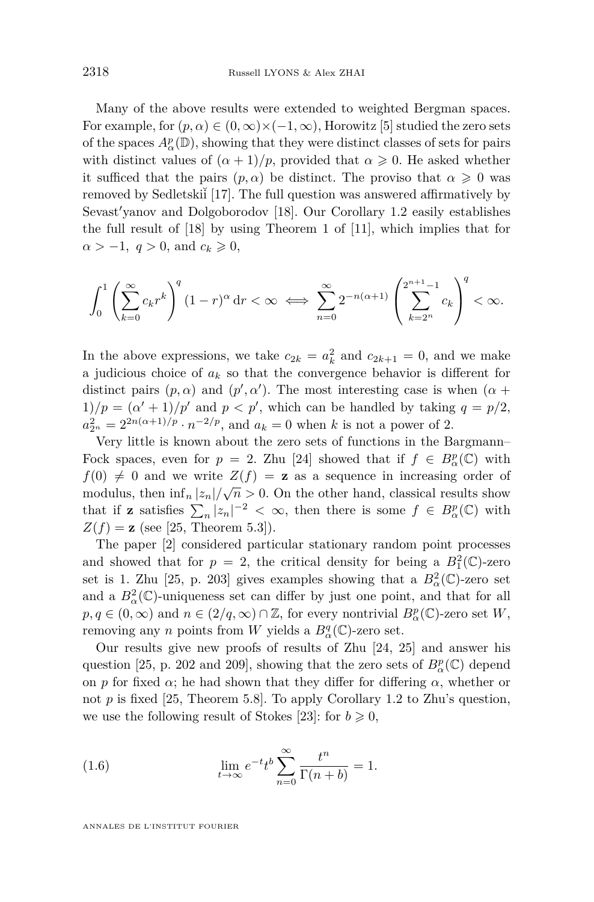Many of the above results were extended to weighted Bergman spaces. For example, for  $(p, \alpha) \in (0, \infty) \times (-1, \infty)$ , Horowitz [\[5\]](#page-16-5) studied the zero sets of the spaces  $A^p_\alpha(\mathbb{D})$ , showing that they were distinct classes of sets for pairs with distinct values of  $(\alpha + 1)/p$ , provided that  $\alpha \geq 0$ . He asked whether it sufficed that the pairs  $(p, \alpha)$  be distinct. The proviso that  $\alpha \geq 0$  was removed by Sedletski<sup>i</sup> [\[17\]](#page-17-12). The full question was answered affirmatively by Sevast'yanov and Dolgoborodov [\[18\]](#page-17-13). Our Corollary [1.2](#page-3-2) easily establishes the full result of [\[18\]](#page-17-13) by using Theorem 1 of [\[11\]](#page-17-14), which implies that for  $\alpha > -1$ ,  $q > 0$ , and  $c_k \geq 0$ ,

$$
\int_0^1 \left( \sum_{k=0}^\infty c_k r^k \right)^q (1-r)^\alpha \, dr < \infty \iff \sum_{n=0}^\infty 2^{-n(\alpha+1)} \left( \sum_{k=2^n}^{2^{n+1}-1} c_k \right)^q < \infty.
$$

In the above expressions, we take  $c_{2k} = a_k^2$  and  $c_{2k+1} = 0$ , and we make a judicious choice of *a<sup>k</sup>* so that the convergence behavior is different for distinct pairs  $(p, \alpha)$  and  $(p', \alpha')$ . The most interesting case is when  $(\alpha +$  $1/p = (\alpha' + 1)/p'$  and  $p < p'$ , which can be handled by taking  $q = p/2$ ,  $a_{2^n}^2 = 2^{2n(\alpha+1)/p} \cdot n^{-2/p}$ , and  $a_k = 0$  when *k* is not a power of 2.

Very little is known about the zero sets of functions in the Bargmann– Fock spaces, even for  $p = 2$ . Zhu [\[24\]](#page-17-1) showed that if  $f \in B^p_\alpha(\mathbb{C})$  with  $f(0) \neq 0$  and we write  $Z(f) = z$  as a sequence in increasing order of modulus, then  $\inf_n |z_n|/\sqrt{n} > 0$ . On the other hand, classical results show that if **z** satisfies  $\sum_{n} |z_n|^{-2} < \infty$ , then there is some  $f \in B^p_\alpha(\mathbb{C})$  with  $Z(f) = z$  (see [\[25,](#page-17-6) Theorem 5.3]).

The paper [\[2\]](#page-16-7) considered particular stationary random point processes and showed that for  $p = 2$ , the critical density for being a  $B_1^2(\mathbb{C})$ -zero set is 1. Zhu [\[25,](#page-17-6) p. 203] gives examples showing that a  $B^2_\alpha(\mathbb{C})$ -zero set and a  $B^2_\alpha(\mathbb{C})$ -uniqueness set can differ by just one point, and that for all  $p, q \in (0, \infty)$  and  $n \in (2/q, \infty) \cap \mathbb{Z}$ , for every nontrivial  $B^p_\alpha(\mathbb{C})$ -zero set  $W$ , removing any *n* points from *W* yields a  $B^q_\alpha(\mathbb{C})$ -zero set.

Our results give new proofs of results of Zhu [\[24,](#page-17-1) [25\]](#page-17-6) and answer his question [\[25,](#page-17-6) p. 202 and 209], showing that the zero sets of  $B^p_\alpha(\mathbb{C})$  depend on *p* for fixed *α*; he had shown that they differ for differing  $\alpha$ , whether or not  $p$  is fixed [\[25,](#page-17-6) Theorem 5.8]. To apply Corollary [1.2](#page-3-2) to Zhu's question, we use the following result of Stokes [\[23\]](#page-17-15): for  $b \ge 0$ ,

<span id="page-8-0"></span>(1.6) 
$$
\lim_{t \to \infty} e^{-t} t^{b} \sum_{n=0}^{\infty} \frac{t^{n}}{\Gamma(n+b)} = 1.
$$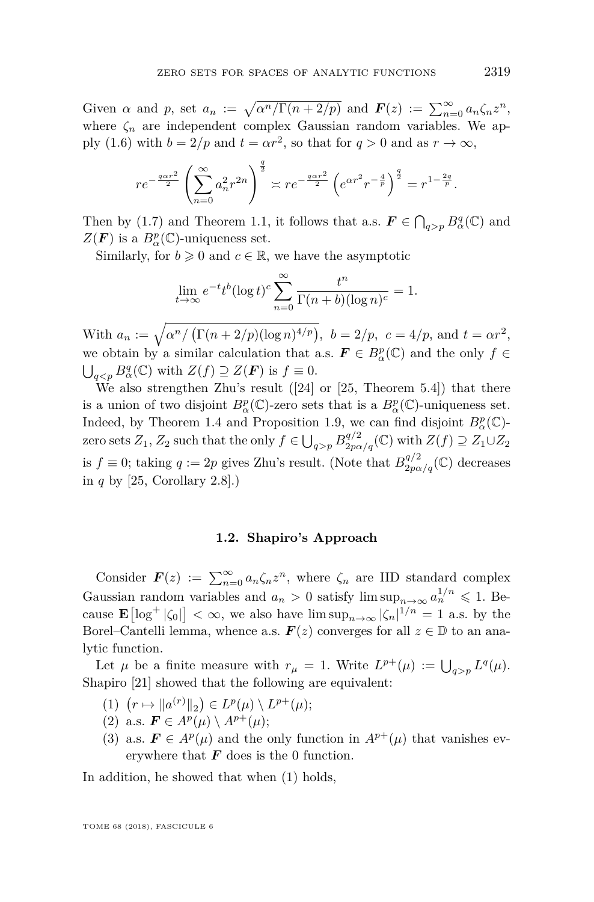Given *α* and *p*, set  $a_n := \sqrt{\alpha^n/\Gamma(n + 2/p)}$  and  $\mathbf{F}(z) := \sum_{n=0}^{\infty} a_n \zeta_n z^n$ , where  $\zeta_n$  are independent complex Gaussian random variables. We ap-ply [\(1.6\)](#page-8-0) with  $b = 2/p$  and  $t = \alpha r^2$ , so that for  $q > 0$  and as  $r \to \infty$ ,

$$
re^{-\frac{q\alpha r^2}{2}}\left(\sum_{n=0}^{\infty}a_n^2r^{2n}\right)^{\frac{q}{2}}\asymp re^{-\frac{q\alpha r^2}{2}}\left(e^{\alpha r^2}r^{-\frac{4}{p}}\right)^{\frac{q}{2}}=r^{1-\frac{2q}{p}}.
$$

Then by [\(1.7\)](#page-10-0) and Theorem [1.1,](#page-2-0) it follows that a.s.  $\mathbf{F} \in \bigcap_{q > p} B^q_\alpha(\mathbb{C})$  and  $Z(\mathbf{F})$  is a  $B_{\alpha}^{p}(\mathbb{C})$ -uniqueness set.

Similarly, for  $b \geq 0$  and  $c \in \mathbb{R}$ , we have the asymptotic

$$
\lim_{t \to \infty} e^{-t} t^b (\log t)^c \sum_{n=0}^{\infty} \frac{t^n}{\Gamma(n+b)(\log n)^c} = 1.
$$

With  $a_n := \sqrt{\alpha^n / (\Gamma(n + 2/p)(\log n)^{4/p})}, \ b = 2/p, \ c = 4/p, \text{ and } t = \alpha r^2,$ we obtain by a similar calculation that a.s.  $\mathbf{F} \in B_{\alpha}^p(\mathbb{C})$  and the only  $f \in$  $\bigcup_{q < p} B^q_\alpha(\mathbb{C})$  with  $Z(f) \supseteq Z(\mathbf{F})$  is  $f \equiv 0$ .

We also strengthen Zhu's result ([\[24\]](#page-17-1) or [\[25,](#page-17-6) Theorem 5.4]) that there is a union of two disjoint  $B^p_\alpha(\mathbb{C})$ -zero sets that is a  $B^p_\alpha(\mathbb{C})$ -uniqueness set. Indeed, by Theorem [1.4](#page-4-0) and Proposition [1.9,](#page-10-1) we can find disjoint  $B^p_\alpha(\mathbb{C})$ zero sets  $Z_1$ ,  $Z_2$  such that the only  $f \in \bigcup_{q > p} B^{q/2}_{2p\alpha/q}(\mathbb{C})$  with  $Z(f) \supseteq Z_1 \cup Z_2$ is  $f \equiv 0$ ; taking  $q := 2p$  gives Zhu's result. (Note that  $B_{2p\alpha/q}^{q/2}(\mathbb{C})$  decreases in *q* by [\[25,](#page-17-6) Corollary 2.8].)

#### **1.2. Shapiro's Approach**

<span id="page-9-2"></span>Consider  $\mathbf{F}(z) := \sum_{n=0}^{\infty} a_n \zeta_n z^n$ , where  $\zeta_n$  are IID standard complex Gaussian random variables and  $a_n > 0$  satisfy  $\limsup_{n \to \infty} a_n^{1/n} \leq 1$ . Because  $\mathbf{E}[\log^+|\zeta_0|]<\infty$ , we also have  $\limsup_{n\to\infty}|\zeta_n|^{1/n}=1$  a.s. by the Borel–Cantelli lemma, whence a.s.  $\mathbf{F}(z)$  converges for all  $z \in \mathbb{D}$  to an analytic function.

Let  $\mu$  be a finite measure with  $r_{\mu} = 1$ . Write  $L^{p+}(\mu) := \bigcup_{q > p} L^q(\mu)$ . Shapiro [\[21\]](#page-17-0) showed that the following are equivalent:

- <span id="page-9-0"></span> $(1)$   $(r \mapsto ||a^{(r)}||_2) \in L^p(\mu) \setminus L^{p+}(\mu);$
- <span id="page-9-1"></span>(2) a.s.  $\mathbf{F} \in A^p(\mu) \setminus A^{p+}(\mu);$
- (3) a.s.  $\mathbf{F} \in A^p(\mu)$  and the only function in  $A^{p+}(\mu)$  that vanishes everywhere that  $\boldsymbol{F}$  does is the 0 function.

In addition, he showed that when [\(1\)](#page-9-0) holds,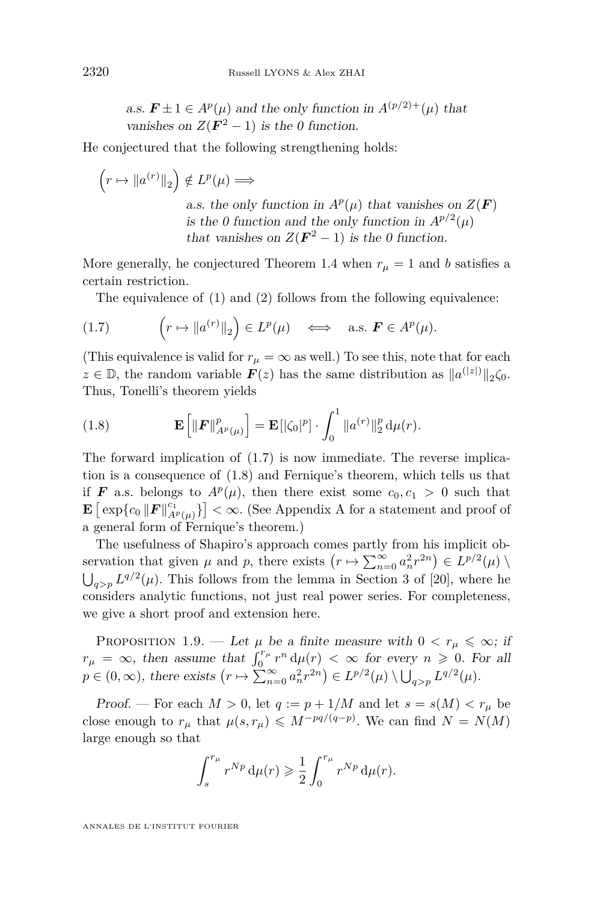a.s.  $\mathbf{F} \pm 1 \in A^p(\mu)$  and the only function in  $A^{(p/2)+}(\mu)$  that vanishes on  $Z(\mathbf{F}^2-1)$  is the 0 function.

He conjectured that the following strengthening holds:

$$
\left(r \mapsto \|a^{(r)}\|_2\right) \notin L^p(\mu) \Longrightarrow
$$
\n*a.s.* the only function in  $A^p(\mu)$  that vanishes on  $Z(\mathbf{F})$   
\n*is the 0 function and the only function in  $A^{p/2}(\mu)$*   
\n*that vanishes on  $Z(\mathbf{F}^2 - 1)$  is the 0 function.*

More generally, he conjectured Theorem [1.4](#page-4-0) when  $r_{\mu} = 1$  and *b* satisfies a certain restriction.

<span id="page-10-0"></span>The equivalence of [\(1\)](#page-9-0) and [\(2\)](#page-9-1) follows from the following equivalence:

(1.7) 
$$
\left(r \mapsto \|a^{(r)}\|_2\right) \in L^p(\mu) \iff \text{a.s. } \mathbf{F} \in A^p(\mu).
$$

(This equivalence is valid for  $r<sub>u</sub> = \infty$  as well.) To see this, note that for each  $z \in \mathbb{D}$ , the random variable  $F(z)$  has the same distribution as  $||a^{(|z|)}||_2 \zeta_0$ . Thus, Tonelli's theorem yields

<span id="page-10-2"></span>(1.8) 
$$
\mathbf{E}\left[\|\boldsymbol{F}\|_{A^p(\mu)}^p\right] = \mathbf{E}\left[|\zeta_0|^p\right] \cdot \int_0^1 \|a^{(r)}\|_2^p \, \mathrm{d}\mu(r).
$$

The forward implication of [\(1.7\)](#page-10-0) is now immediate. The reverse implication is a consequence of [\(1.8\)](#page-10-2) and Fernique's theorem, which tells us that if *F* a.s. belongs to  $A^p(\mu)$ , then there exist some  $c_0, c_1 > 0$  such that  $\mathbf{E}\left[\exp\{c_0\|\mathbf{F}\|_{A^p(\mu)}^{c_1}\}\right] < \infty$  $\mathbf{E}\left[\exp\{c_0\|\mathbf{F}\|_{A^p(\mu)}^{c_1}\}\right] < \infty$  $\mathbf{E}\left[\exp\{c_0\|\mathbf{F}\|_{A^p(\mu)}^{c_1}\}\right] < \infty$ . (See Appendix A for a statement and proof of a general form of Fernique's theorem.)

The usefulness of Shapiro's approach comes partly from his implicit observation that given  $\mu$  and  $p$ , there exists  $(r \mapsto \sum_{n=0}^{\infty} a_n^2 r^{2n}) \in L^{p/2}(\mu)$  $\bigcup_{q>p} L^{q/2}(\mu)$ . This follows from the lemma in Section 3 of [\[20\]](#page-17-11), where he considers analytic functions, not just real power series. For completeness, we give a short proof and extension here.

<span id="page-10-1"></span>PROPOSITION 1.9. — Let  $\mu$  be a finite measure with  $0 < r_{\mu} \leq \infty$ ; if  $r_{\mu} = \infty$ , then assume that  $\int_0^{r_{\mu}} r^n d\mu(r) < \infty$  for every  $n \geq 0$ . For all  $p \in (0, \infty)$ , there exists  $(r \mapsto \sum_{n=0}^{\infty} a_n^2 r^{2n}) \in L^{p/2}(\mu) \setminus \bigcup_{q > p} L^{q/2}(\mu)$ .

Proof. — For each  $M > 0$ , let  $q := p + 1/M$  and let  $s = s(M) < r_{\mu}$  be close enough to  $r_{\mu}$  that  $\mu(s, r_{\mu}) \leqslant M^{-pq/(q-p)}$ . We can find  $N = N(M)$ large enough so that

$$
\int_s^{r_\mu} r^{Np} \, \mathrm{d}\mu(r) \geqslant \frac{1}{2} \int_0^{r_\mu} r^{Np} \, \mathrm{d}\mu(r).
$$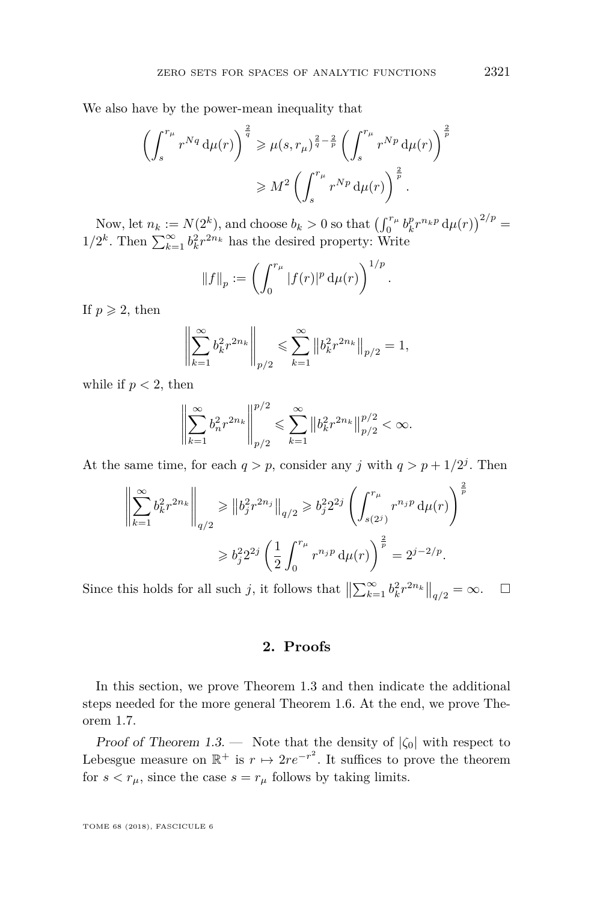We also have by the power-mean inequality that

$$
\left(\int_s^{r_\mu} r^{Nq} d\mu(r)\right)^{\frac{2}{q}} \geqslant \mu(s, r_\mu)^{\frac{2}{q}-\frac{2}{p}} \left(\int_s^{r_\mu} r^{Np} d\mu(r)\right)^{\frac{2}{p}}
$$

$$
\geqslant M^2 \left(\int_s^{r_\mu} r^{Np} d\mu(r)\right)^{\frac{2}{p}}.
$$

Now, let  $n_k := N(2^k)$ , and choose  $b_k > 0$  so that  $\left(\int_0^{r_\mu} b_k^p r^{n_k p} d\mu(r)\right)^{2/p} =$  $1/2^k$ . Then  $\sum_{k=1}^{\infty} b_k^2 r^{2n_k}$  has the desired property: Write

$$
||f||_p := \left(\int_0^{r_{\mu}} |f(r)|^p \, \mathrm{d}\mu(r)\right)^{1/p}.
$$

If  $p \geqslant 2$ , then

$$
\left\| \sum_{k=1}^{\infty} b_k^2 r^{2n_k} \right\|_{p/2} \leqslant \sum_{k=1}^{\infty} \left\| b_k^2 r^{2n_k} \right\|_{p/2} = 1,
$$

while if  $p < 2$ , then

$$
\left\| \sum_{k=1}^{\infty} b_n^2 r^{2n_k} \right\|_{p/2}^{p/2} \leqslant \sum_{k=1}^{\infty} \left\| b_k^2 r^{2n_k} \right\|_{p/2}^{p/2} < \infty.
$$

At the same time, for each  $q > p$ , consider any *j* with  $q > p + 1/2<sup>j</sup>$ . Then

$$
\left\| \sum_{k=1}^{\infty} b_k^2 r^{2n_k} \right\|_{q/2} \geqslant \|b_j^2 r^{2n_j}\|_{q/2} \geqslant b_j^2 2^{2j} \left( \int_{s(2^j)}^{r_{\mu}} r^{n_j p} \, d\mu(r) \right)^{\frac{2}{p}}
$$

$$
\geqslant b_j^2 2^{2j} \left( \frac{1}{2} \int_0^{r_{\mu}} r^{n_j p} \, d\mu(r) \right)^{\frac{2}{p}} = 2^{j-2/p}.
$$

Since this holds for all such *j*, it follows that  $\left\| \sum_{k=1}^{\infty} b_k^2 r^{2n_k} \right\|_{q/2} = \infty$ .  $\Box$ 

#### **2. Proofs**

In this section, we prove Theorem [1.3](#page-3-0) and then indicate the additional steps needed for the more general Theorem [1.6.](#page-4-2) At the end, we prove Theorem [1.7.](#page-5-1)

Proof of Theorem [1.3.](#page-3-0) — Note that the density of |*ζ*0| with respect to Lebesgue measure on  $\mathbb{R}^+$  is  $r \mapsto 2re^{-r^2}$ . It suffices to prove the theorem for  $s < r_{\mu}$ , since the case  $s = r_{\mu}$  follows by taking limits.

TOME 68 (2018), FASCICULE 6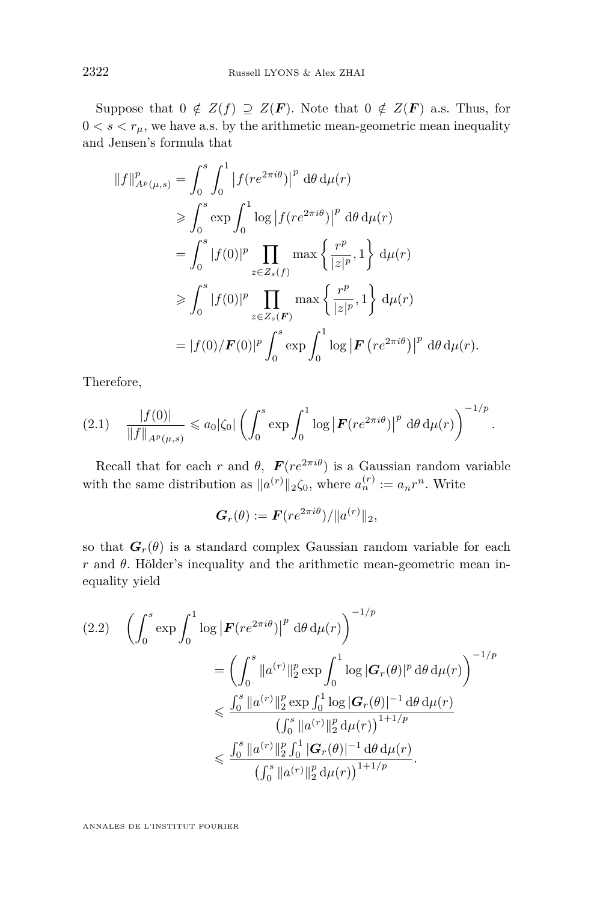Suppose that  $0 \notin Z(f) \supseteq Z(F)$ . Note that  $0 \notin Z(F)$  a.s. Thus, for  $0 < s < r<sub>\mu</sub>$ , we have a.s. by the arithmetic mean-geometric mean inequality and Jensen's formula that

$$
||f||_{A^p(\mu,s)}^p = \int_0^s \int_0^1 |f(re^{2\pi i\theta})|^p d\theta d\mu(r)
$$
  
\n
$$
\geq \int_0^s \exp \int_0^1 \log |f(re^{2\pi i\theta})|^p d\theta d\mu(r)
$$
  
\n
$$
= \int_0^s |f(0)|^p \prod_{z \in Z_s(f)} \max \left\{ \frac{r^p}{|z|^p}, 1 \right\} d\mu(r)
$$
  
\n
$$
\geq \int_0^s |f(0)|^p \prod_{z \in Z_s(F)} \max \left\{ \frac{r^p}{|z|^p}, 1 \right\} d\mu(r)
$$
  
\n
$$
= |f(0)/\mathbf{F}(0)|^p \int_0^s \exp \int_0^1 \log |\mathbf{F}(re^{2\pi i\theta})|^p d\theta d\mu(r).
$$

Therefore,

<span id="page-12-0"></span>
$$
(2.1) \quad \frac{|f(0)|}{\|f\|_{A^p(\mu,s)}} \leq a_0 |\zeta_0| \left( \int_0^s \exp \int_0^1 \log \left| \mathbf{F}(re^{2\pi i\theta}) \right|^p d\theta d\mu(r) \right)^{-1/p}.
$$

Recall that for each *r* and  $\theta$ ,  $\mathbf{F}(re^{2\pi i\theta})$  is a Gaussian random variable with the same distribution as  $||a^{(r)}||_2\zeta_0$ , where  $a_n^{(r)} := a_n r^n$ . Write

$$
\boldsymbol{G}_r(\theta) := \boldsymbol{F}(re^{2\pi i \theta}) / \|a^{(r)}\|_2,
$$

so that  $G_r(\theta)$  is a standard complex Gaussian random variable for each *r* and *θ*. Hölder's inequality and the arithmetic mean-geometric mean inequality yield

<span id="page-12-1"></span>
$$
(2.2) \quad \left(\int_0^s \exp \int_0^1 \log \left| \mathbf{F}(re^{2\pi i\theta}) \right|^p \,d\theta \,d\mu(r) \right)^{-1/p} \n= \left(\int_0^s \|a^{(r)}\|_2^p \exp \int_0^1 \log |\mathbf{G}_r(\theta)|^p \,d\theta \,d\mu(r) \right)^{-1/p} \n\leq \frac{\int_0^s \|a^{(r)}\|_2^p \exp \int_0^1 \log |\mathbf{G}_r(\theta)|^{-1} \,d\theta \,d\mu(r)}{\int_0^s \|a^{(r)}\|_2^p \,d\mu(r) \right)^{1+1/p} \n\leq \frac{\int_0^s \|a^{(r)}\|_2^p \int_0^1 |\mathbf{G}_r(\theta)|^{-1} \,d\theta \,d\mu(r)}{\int_0^s \|a^{(r)}\|_2^p \,d\mu(r) \right)^{1+1/p} }.
$$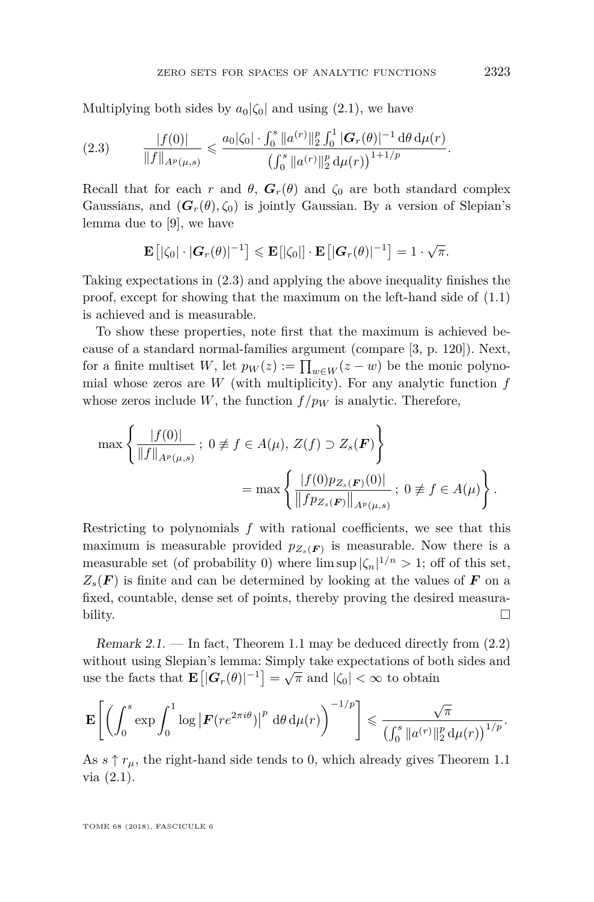Multiplying both sides by  $a_0|\zeta_0|$  and using [\(2.1\)](#page-12-0), we have

<span id="page-13-0"></span>
$$
(2.3) \t\t \t\t \frac{|f(0)|}{\|f\|_{A^p(\mu,s)}} \leqslant \frac{a_0|\zeta_0|\cdot \int_0^s \|a^{(r)}\|_2^p \int_0^1 |\mathbf{G}_r(\theta)|^{-1} d\theta d\mu(r)}{\left(\int_0^s \|a^{(r)}\|_2^p d\mu(r)\right)^{1+1/p}}.
$$

Recall that for each *r* and  $\theta$ ,  $G_r(\theta)$  and  $\zeta_0$  are both standard complex Gaussians, and  $(G_r(\theta), \zeta_0)$  is jointly Gaussian. By a version of Slepian's lemma due to [\[9\]](#page-17-16), we have

$$
\mathbf{E}\left[|\zeta_0|\cdot |\boldsymbol{G}_r(\theta)|^{-1}\right] \leqslant \mathbf{E}\left[|\zeta_0|\right] \cdot \mathbf{E}\left[|\boldsymbol{G}_r(\theta)|^{-1}\right] = 1 \cdot \sqrt{\pi}.
$$

Taking expectations in [\(2.3\)](#page-13-0) and applying the above inequality finishes the proof, except for showing that the maximum on the left-hand side of  $(1.1)$ is achieved and is measurable.

To show these properties, note first that the maximum is achieved because of a standard normal-families argument (compare [\[3,](#page-16-4) p. 120]). Next, for a finite multiset *W*, let  $p_W(z) := \prod_{w \in W} (z - w)$  be the monic polynomial whose zeros are *W* (with multiplicity). For any analytic function *f* whose zeros include *W*, the function  $f/p_W$  is analytic. Therefore,

$$
\max \left\{ \frac{|f(0)|}{\|f\|_{A^p(\mu,s)}} \, ; \, 0 \neq f \in A(\mu), \, Z(f) \supset Z_s(\mathbf{F}) \right\}
$$
\n
$$
= \max \left\{ \frac{|f(0)p_{Z_s(\mathbf{F})}(0)|}{\|fp_{Z_s(\mathbf{F})}\|_{A^p(\mu,s)}} \, ; \, 0 \neq f \in A(\mu) \right\}.
$$

Restricting to polynomials *f* with rational coefficients, we see that this maximum is measurable provided  $p_{Z_s(F)}$  is measurable. Now there is a measurable set (of probability 0) where  $\limsup |\zeta_n|^{1/n} > 1$ ; off of this set,  $Z_s(\mathbf{F})$  is finite and can be determined by looking at the values of **F** on a fixed, countable, dense set of points, thereby proving the desired measurability.  $\Box$ 

Remark  $2.1.$  — In fact, Theorem [1.1](#page-2-0) may be deduced directly from  $(2.2)$ without using Slepian's lemma: Simply take expectations of both sides and which disting Stephan 5 tends. Simply take expectations of Sequence the facts that  $\mathbf{E}[|\mathbf{G}_r(\theta)|^{-1}] = \sqrt{\pi}$  and  $|\zeta_0| < \infty$  to obtain

$$
\mathbf{E}\left[\left(\int_0^s \exp \int_0^1 \log \left|F(re^{2\pi i\theta})\right|^p \, {\rm d}\theta \, {\rm d}\mu(r)\right)^{-1/p}\right] \leqslant \frac{\sqrt{\pi}}{\left(\int_0^s \|a^{(r)}\|_2^p \, {\rm d}\mu(r)\right)^{1/p}}.
$$

As  $s \uparrow r_{\mu}$ , the right-hand side tends to 0, which already gives Theorem [1.1](#page-2-0) via [\(2.1\)](#page-12-0).

TOME 68 (2018), FASCICULE 6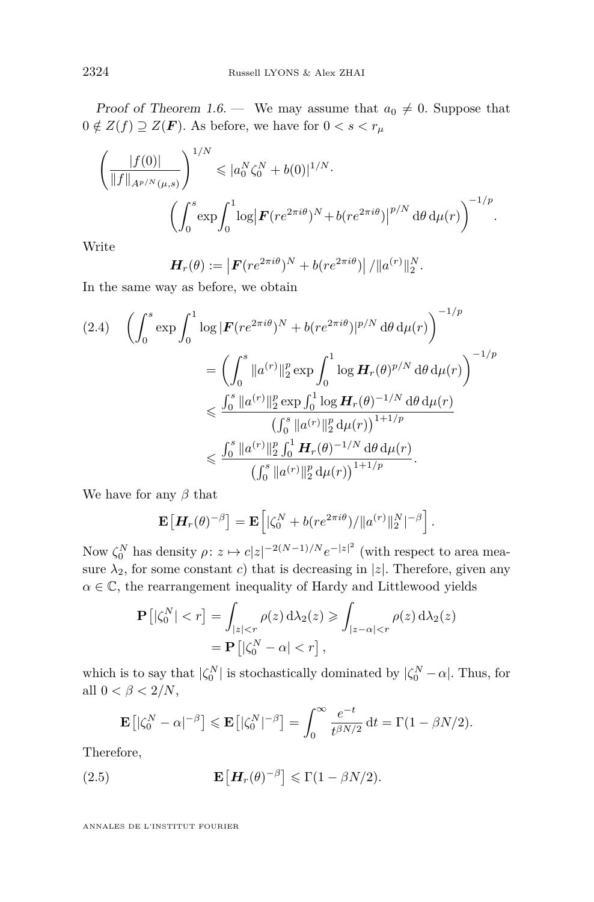Proof of Theorem [1.6.](#page-4-2) — We may assume that  $a_0 \neq 0$ . Suppose that  $0 \notin Z(f) \supseteq Z(\mathbf{F})$ . As before, we have for  $0 < s < r_{\mu}$ 

$$
\left(\frac{|f(0)|}{\|f\|_{A^{p/N}(\mu,s)}}\right)^{1/N} \leqslant |a_0^N \zeta_0^N + b(0)|^{1/N}.
$$

$$
\left(\int_0^s \exp \int_0^1 \log |F(re^{2\pi i\theta})^N + b(re^{2\pi i\theta})|^{p/N} d\theta d\mu(r)\right)^{-1/p}.
$$

Write

$$
\boldsymbol{H}_r(\theta) := \left| \boldsymbol{F}(re^{2\pi i \theta})^N + b(re^{2\pi i \theta}) \right| / \|a^{(r)}\|_2^N
$$

*.*

In the same way as before, we obtain

<span id="page-14-0"></span>
$$
(2.4) \quad \left(\int_0^s \exp \int_0^1 \log |\mathbf{F}(re^{2\pi i\theta})^N + b(re^{2\pi i\theta})|^{p/N} d\theta d\mu(r)\right)^{-1/p}
$$

$$
= \left(\int_0^s \|a^{(r)}\|_2^p \exp \int_0^1 \log \mathbf{H}_r(\theta)^{p/N} d\theta d\mu(r)\right)^{-1/p}
$$

$$
\leq \frac{\int_0^s \|a^{(r)}\|_2^p \exp \int_0^1 \log \mathbf{H}_r(\theta)^{-1/N} d\theta d\mu(r)}{\left(\int_0^s \|a^{(r)}\|_2^p \int_0^1 \mathbf{H}_r(\theta)^{-1/N} d\theta d\mu(r)\right)}
$$

$$
\leq \frac{\int_0^s \|a^{(r)}\|_2^p \int_0^1 \mathbf{H}_r(\theta)^{-1/N} d\theta d\mu(r)}{\left(\int_0^s \|a^{(r)}\|_2^p d\mu(r)\right)^{1+1/p}}.
$$

We have for any *β* that

$$
\mathbf{E}\left[\mathbf{H}_r(\theta)^{-\beta}\right] = \mathbf{E}\left[|\zeta_0^N + b(re^{2\pi i\theta})/||a^{(r)}||_2^N|^{-\beta}\right].
$$

Now  $ζ_0^N$  has density *ρ*: *z* → *c*|*z*|<sup>-2(*N*−1)/*N e*<sup>-|*z*|<sup>2</sup></sup> (with respect to area mea-</sup> sure  $\lambda_2$ , for some constant *c*) that is decreasing in |*z*|. Therefore, given any  $\alpha \in \mathbb{C}$ , the rearrangement inequality of Hardy and Littlewood yields

$$
\mathbf{P}\left[|\zeta_0^N| < r\right] = \int_{|z| < r} \rho(z) \, d\lambda_2(z) \geqslant \int_{|z-\alpha| < r} \rho(z) \, d\lambda_2(z) \\
= \mathbf{P}\left[|\zeta_0^N - \alpha| < r\right],
$$

which is to say that  $|\zeta_0^N|$  is stochastically dominated by  $|\zeta_0^N - \alpha|$ . Thus, for all  $0 < \beta < 2/N$ ,

<span id="page-14-1"></span>
$$
\mathbf{E}\left[|\zeta_0^N - \alpha|^{-\beta}\right] \leqslant \mathbf{E}\left[|\zeta_0^N|^{-\beta}\right] = \int_0^\infty \frac{e^{-t}}{t^{\beta N/2}} dt = \Gamma(1 - \beta N/2).
$$

Therefore,

(2.5) 
$$
\mathbf{E}\left[\mathbf{H}_r(\theta)^{-\beta}\right] \leq \Gamma(1-\beta N/2).
$$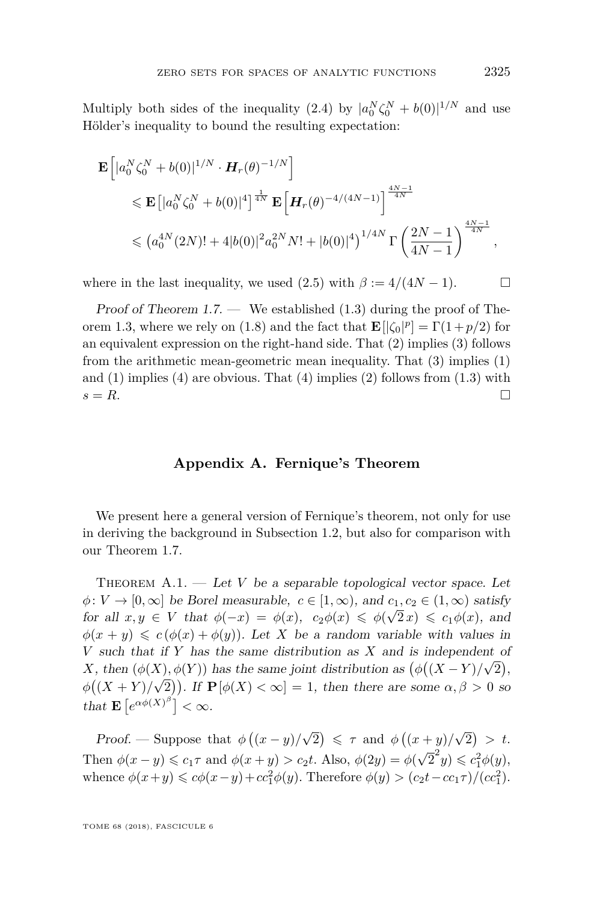Multiply both sides of the inequality  $(2.4)$  by  $|a_0^N \zeta_0^N + b(0)|^{1/N}$  and use Hölder's inequality to bound the resulting expectation:

$$
\mathbf{E}\left[|a_0^N \zeta_0^N + b(0)|^{1/N} \cdot \mathbf{H}_r(\theta)^{-1/N}\right] \leq \mathbf{E}\left[|a_0^N \zeta_0^N + b(0)|^4\right]^{\frac{1}{4N}} \mathbf{E}\left[\mathbf{H}_r(\theta)^{-4/(4N-1)}\right]^{\frac{4N-1}{4N}}
$$
  

$$
\leq (a_0^{4N}(2N)! + 4|b(0)|^2 a_0^{2N} N! + |b(0)|^4)^{1/4N} \Gamma\left(\frac{2N-1}{4N-1}\right)^{\frac{4N-1}{4N}},
$$

where in the last inequality, we used  $(2.5)$  with  $\beta := 4/(4N - 1)$ .

Proof of Theorem [1.7.](#page-5-1) — We established  $(1.3)$  during the proof of The-orem [1.3,](#page-3-0) where we rely on [\(1.8\)](#page-10-2) and the fact that  $\mathbf{E} [|\zeta_0|^p] = \Gamma(1 + p/2)$  for an equivalent expression on the right-hand side. That [\(2\)](#page-5-3) implies [\(3\)](#page-5-4) follows from the arithmetic mean-geometric mean inequality. That [\(3\)](#page-5-4) implies [\(1\)](#page-5-5) and  $(1)$  implies  $(4)$  are obvious. That  $(4)$  implies  $(2)$  follows from  $(1.3)$  with  $s = R$ .

#### **Appendix A. Fernique's Theorem**

<span id="page-15-0"></span>We present here a general version of Fernique's theorem, not only for use in deriving the background in Subsection [1.2,](#page-9-2) but also for comparison with our Theorem [1.7.](#page-5-1)

THEOREM  $A.1.$  — Let *V* be a separable topological vector space. Let  $\phi: V \to [0, \infty]$  be Borel measurable,  $c \in [1, \infty)$ , and  $c_1, c_2 \in (1, \infty)$  satisfy for all  $x, y \in V$  that  $\phi(-x) = \phi(x), c_2\phi(x) \leq \phi(\sqrt{2}x) \leq c_1\phi(x),$  and  $\phi(x + y) \leq c(\phi(x) + \phi(y))$ . Let *X* be a random variable with values in *V* such that if *Y* has the same distribution as *X* and is independent of *X*, then  $(\phi(X), \phi(Y))$  has the same joint distribution as  $(\phi((X - Y)/\sqrt{2}),$  $\phi((X+Y)/\sqrt{2})$ . If  $\mathbf{P}[\phi(X) < \infty] = 1$ , then there are some  $\alpha, \beta > 0$  so that  $\mathbf{E}\left[e^{\alpha\phi(X)^\beta}\right] < \infty$ .

Proof. — Suppose that  $\phi\left(\frac{x-y}{x}\right)$ √  $\overline{2}$ )  $\leqslant \tau$  and  $\phi ((x+y)/$ √  $\overline{2})$  > t. Then  $\phi(x - y) \leq c_1 \tau$  and  $\phi(x + y) > c_2 t$ . Also,  $\phi(2y) = \phi(\sqrt{\tau})$  $\overline{2}^2 y$ )  $\leqslant c_1^2 \phi(y)$ , whence  $\phi(x+y) \leq c\phi(x-y) + cc_1^2\phi(y)$ . Therefore  $\phi(y) > (c_2t - cc_1\tau)/(cc_1^2)$ .

TOME 68 (2018), FASCICULE 6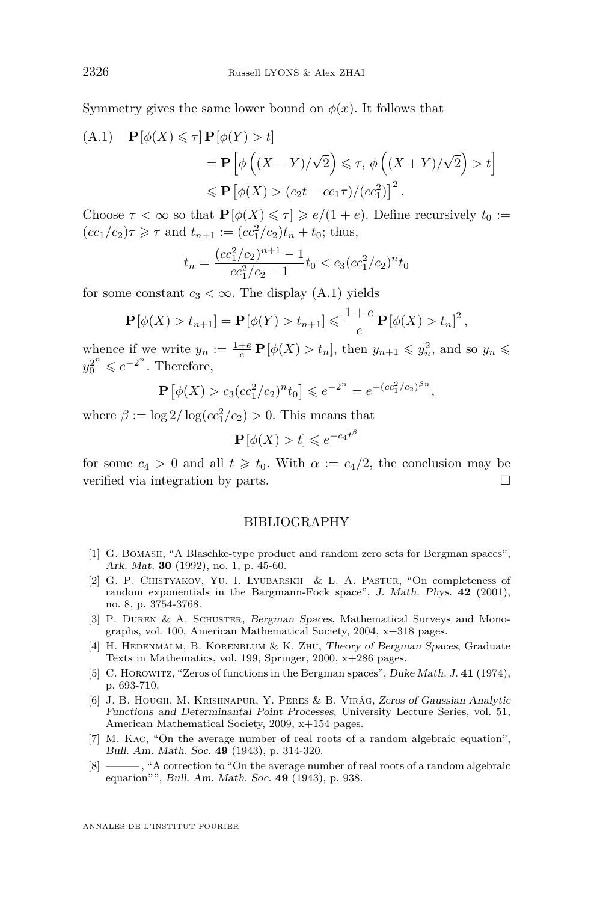Symmetry gives the same lower bound on  $\phi(x)$ . It follows that

<span id="page-16-8"></span>(A.1) 
$$
\mathbf{P}[\phi(X) \leq \tau] \mathbf{P}[\phi(Y) > t]
$$
  
\n
$$
= \mathbf{P} \left[ \phi \left( (X - Y)/\sqrt{2} \right) \leq \tau, \phi \left( (X + Y)/\sqrt{2} \right) > t \right]
$$
\n
$$
\leq \mathbf{P} \left[ \phi(X) > (c_2 t - c_1 \tau) / (c c_1^2) \right]^2.
$$

Choose  $\tau < \infty$  so that  $P[\phi(X) \leq \tau] \geq e/(1+e)$ . Define recursively  $t_0 :=$  $(cc_1/c_2)\tau \geq \tau$  and  $t_{n+1} := (cc_1^2/c_2)t_n + t_0$ ; thus,

$$
t_n = \frac{(cc_1^2/c_2)^{n+1} - 1}{cc_1^2/c_2 - 1} t_0 < c_3 (cc_1^2/c_2)^n t_0
$$

for some constant  $c_3 < \infty$ . The display [\(A.1\)](#page-16-8) yields

$$
\mathbf{P}[\phi(X) > t_{n+1}] = \mathbf{P}[\phi(Y) > t_{n+1}] \leq \frac{1+e}{e} \mathbf{P}[\phi(X) > t_n]^2,
$$

whence if we write  $y_n := \frac{1+e}{e} \mathbf{P}[\phi(X) > t_n]$ , then  $y_{n+1} \leq y_n^2$ , and so  $y_n \leq$  $y_0^{2^n} \leqslant e^{-2^n}$ . Therefore,

$$
\mathbf{P}\left[\phi(X) > c_3 (c c_1^2 / c_2)^n t_0\right] \leqslant e^{-2^n} = e^{-(c c_1^2 / c_2)^{\beta n}},
$$

where  $\beta := \log 2/\log(c c_1^2/c_2) > 0$ . This means that

$$
\mathbf{P}\left[\phi(X) > t\right] \leqslant e^{-c_4 t^{\beta}}
$$

for some  $c_4 > 0$  and all  $t \geq t_0$ . With  $\alpha := c_4/2$ , the conclusion may be verified via integration by parts.

#### BIBLIOGRAPHY

- <span id="page-16-6"></span>[1] G. Bomash, "A Blaschke-type product and random zero sets for Bergman spaces", Ark. Mat. **30** (1992), no. 1, p. 45-60.
- <span id="page-16-7"></span>[2] G. P. CHISTYAKOV, YU. I. LYUBARSKII & L. A. PASTUR, "On completeness of random exponentials in the Bargmann-Fock space", J. Math. Phys. **42** (2001), no. 8, p. 3754-3768.
- <span id="page-16-4"></span>[3] P. DUREN & A. SCHUSTER, Bergman Spaces, Mathematical Surveys and Monographs, vol. 100, American Mathematical Society, 2004, x+318 pages.
- <span id="page-16-3"></span>[4] H. Hedenmalm, B. Korenblum & K. Zhu, Theory of Bergman Spaces, Graduate Texts in Mathematics, vol. 199, Springer, 2000, x+286 pages.
- <span id="page-16-5"></span>[5] C. Horowitz, "Zeros of functions in the Bergman spaces", Duke Math. J. **41** (1974), p. 693-710.
- <span id="page-16-2"></span>[6] J. B. Hough, M. Krishnapur, Y. Peres & B. Virág, Zeros of Gaussian Analytic Functions and Determinantal Point Processes, University Lecture Series, vol. 51, American Mathematical Society, 2009, x+154 pages.
- <span id="page-16-0"></span>[7] M. Kac, "On the average number of real roots of a random algebraic equation", Bull. Am. Math. Soc. **49** (1943), p. 314-320.
- <span id="page-16-1"></span>[8] ——— , "A correction to "On the average number of real roots of a random algebraic equation"", Bull. Am. Math. Soc. **49** (1943), p. 938.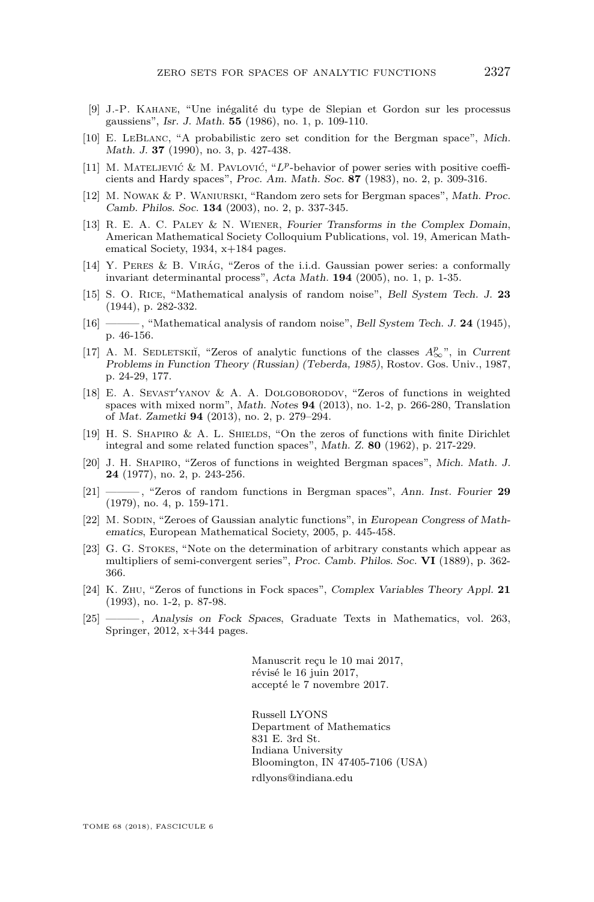- <span id="page-17-16"></span>[9] J.-P. Kahane, "Une inégalité du type de Slepian et Gordon sur les processus gaussiens", Isr. J. Math. **55** (1986), no. 1, p. 109-110.
- <span id="page-17-9"></span>[10] E. LeBlanc, "A probabilistic zero set condition for the Bergman space", Mich. Math. J. **37** (1990), no. 3, p. 427-438.
- <span id="page-17-14"></span>[11] M. MATELJEVIĆ & M. PAVLOVIĆ, "L<sup>p</sup>-behavior of power series with positive coefficients and Hardy spaces", Proc. Am. Math. Soc. **87** (1983), no. 2, p. 309-316.
- <span id="page-17-10"></span>[12] M. Nowak & P. Waniurski, "Random zero sets for Bergman spaces", Math. Proc. Camb. Philos. Soc. **134** (2003), no. 2, p. 337-345.
- <span id="page-17-2"></span>[13] R. E. A. C. Paley & N. Wiener, Fourier Transforms in the Complex Domain, American Mathematical Society Colloquium Publications, vol. 19, American Mathematical Society, 1934,  $x+184$  pages.
- <span id="page-17-7"></span>[14] Y. Peres & B. Virág, "Zeros of the i.i.d. Gaussian power series: a conformally invariant determinantal process", Acta Math. **194** (2005), no. 1, p. 1-35.
- <span id="page-17-3"></span>[15] S. O. Rice, "Mathematical analysis of random noise", Bell System Tech. J. **23** (1944), p. 282-332.
- <span id="page-17-4"></span>[16] ——— , "Mathematical analysis of random noise", Bell System Tech. J. **24** (1945), p. 46-156.
- <span id="page-17-12"></span>[17] A. M. SEDLETSKIĬ, "Zeros of analytic functions of the classes  $A^p_{\infty}$ ", in Current Problems in Function Theory (Russian) (Teberda, 1985), Rostov. Gos. Univ., 1987, p. 24-29, 177.
- <span id="page-17-13"></span>[18] E. A. SEVAST'YANOV & A. A. DOLGOBORODOV, "Zeros of functions in weighted spaces with mixed norm", Math. Notes **94** (2013), no. 1-2, p. 266-280, Translation of Mat. Zametki **94** (2013), no. 2, p. 279–294.
- <span id="page-17-8"></span>[19] H. S. Shapiro & A. L. Shields, "On the zeros of functions with finite Dirichlet integral and some related function spaces", Math. Z. **80** (1962), p. 217-229.
- <span id="page-17-11"></span>[20] J. H. Shapiro, "Zeros of functions in weighted Bergman spaces", Mich. Math. J. **24** (1977), no. 2, p. 243-256.
- <span id="page-17-0"></span>[21] ——— , "Zeros of random functions in Bergman spaces", Ann. Inst. Fourier **29** (1979), no. 4, p. 159-171.
- <span id="page-17-5"></span>[22] M. SODIN, "Zeroes of Gaussian analytic functions", in European Congress of Mathematics, European Mathematical Society, 2005, p. 445-458.
- <span id="page-17-15"></span>[23] G. G. Stokes, "Note on the determination of arbitrary constants which appear as multipliers of semi-convergent series", Proc. Camb. Philos. Soc. **VI** (1889), p. 362- 366.
- <span id="page-17-1"></span>[24] K. Zhu, "Zeros of functions in Fock spaces", Complex Variables Theory Appl. **21** (1993), no. 1-2, p. 87-98.
- <span id="page-17-6"></span>[25] ——— , Analysis on Fock Spaces, Graduate Texts in Mathematics, vol. 263, Springer, 2012, x+344 pages.

Manuscrit reçu le 10 mai 2017, révisé le 16 juin 2017, accepté le 7 novembre 2017.

Russell LYONS Department of Mathematics 831 E. 3rd St. Indiana University Bloomington, IN 47405-7106 (USA) [rdlyons@indiana.edu](mailto:rdlyons@indiana.edu)